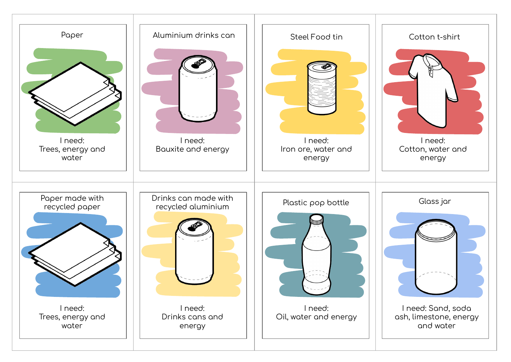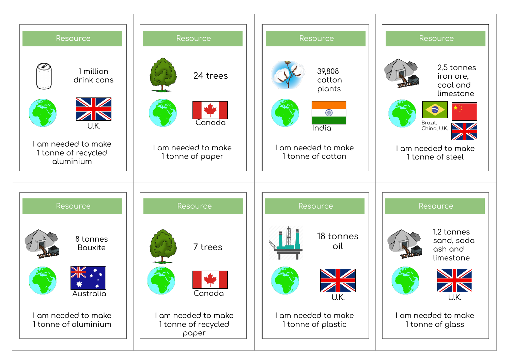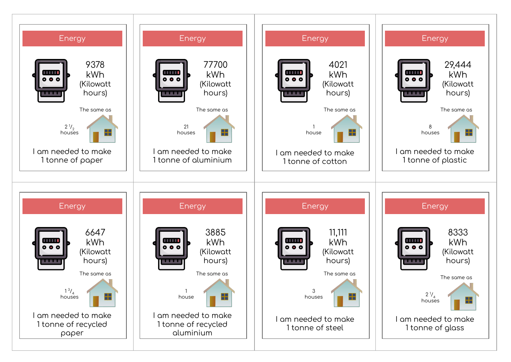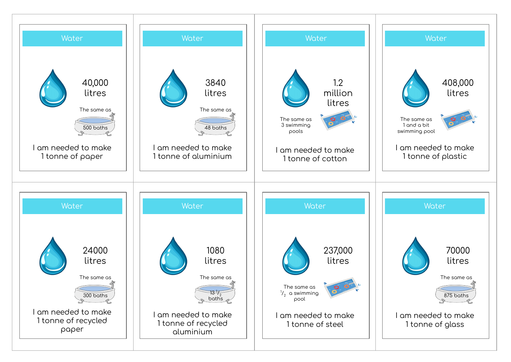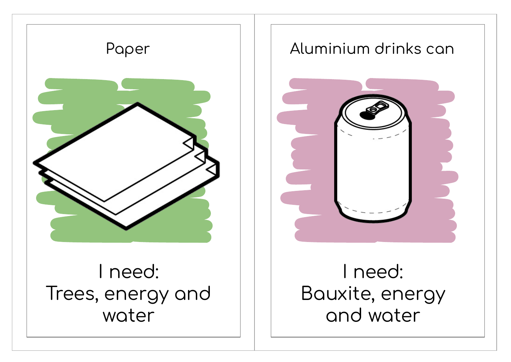

## Aluminium drinks can



## I need: Bauxite, energy and water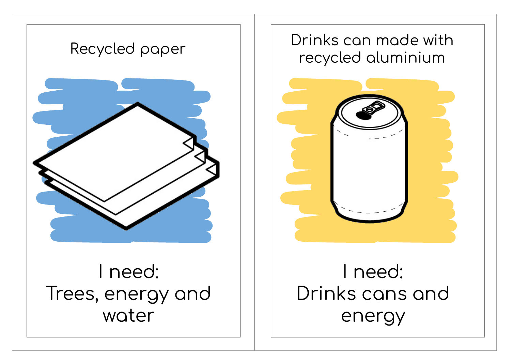

I need: Trees, energy and water

## Drinks can made with recycled aluminium



## I need: Drinks cans and energy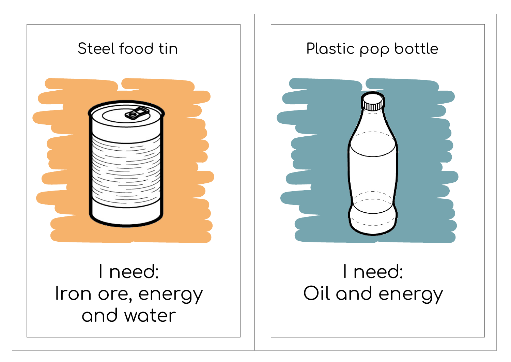

Iron ore, energy and water